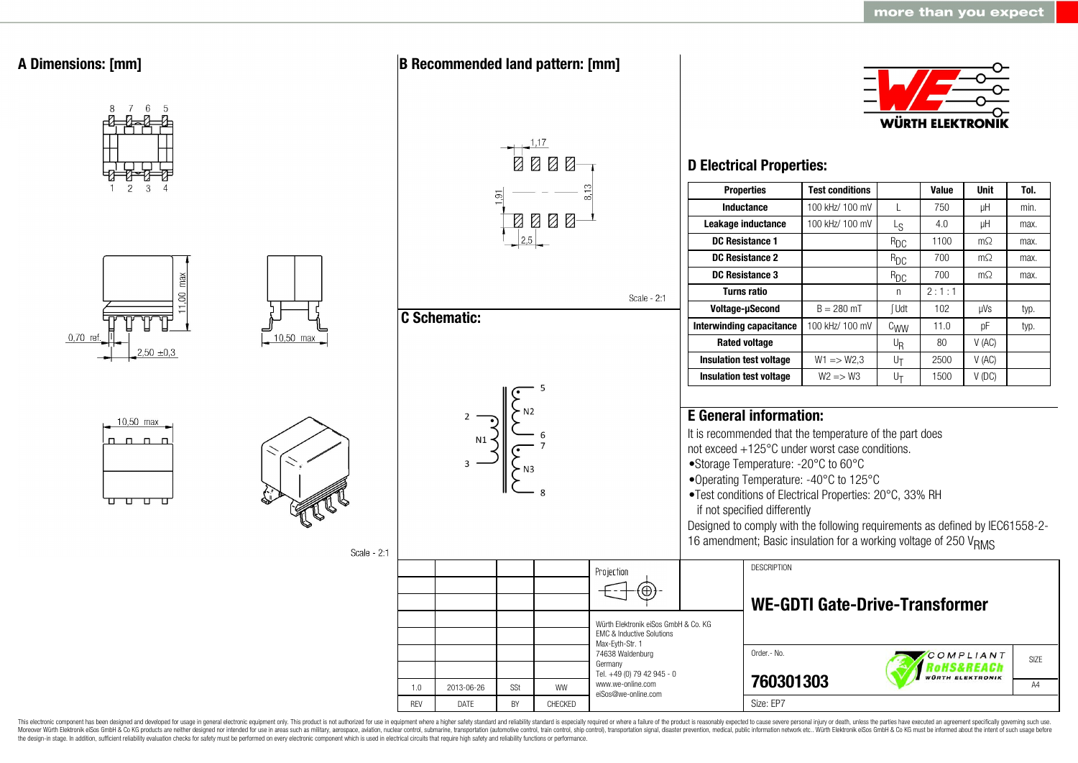

This electronic component has been designed and developed for usage in general electronic equipment only. This product is not authorized for use in equipment where a higher safety standard and reliability standard is espec Moreover Würth Elektronik eiSos GmbH & Co KG products are neither designed nor intended for use in areas such as military, aerospace, aviation, nuclear control, submarine, transportation (automotive control, ship control), the design-in stage. In addition, sufficient reliability evaluation checks for safety must be performed on every electronic component which is used in electrical circuits that require high safety and reliability functions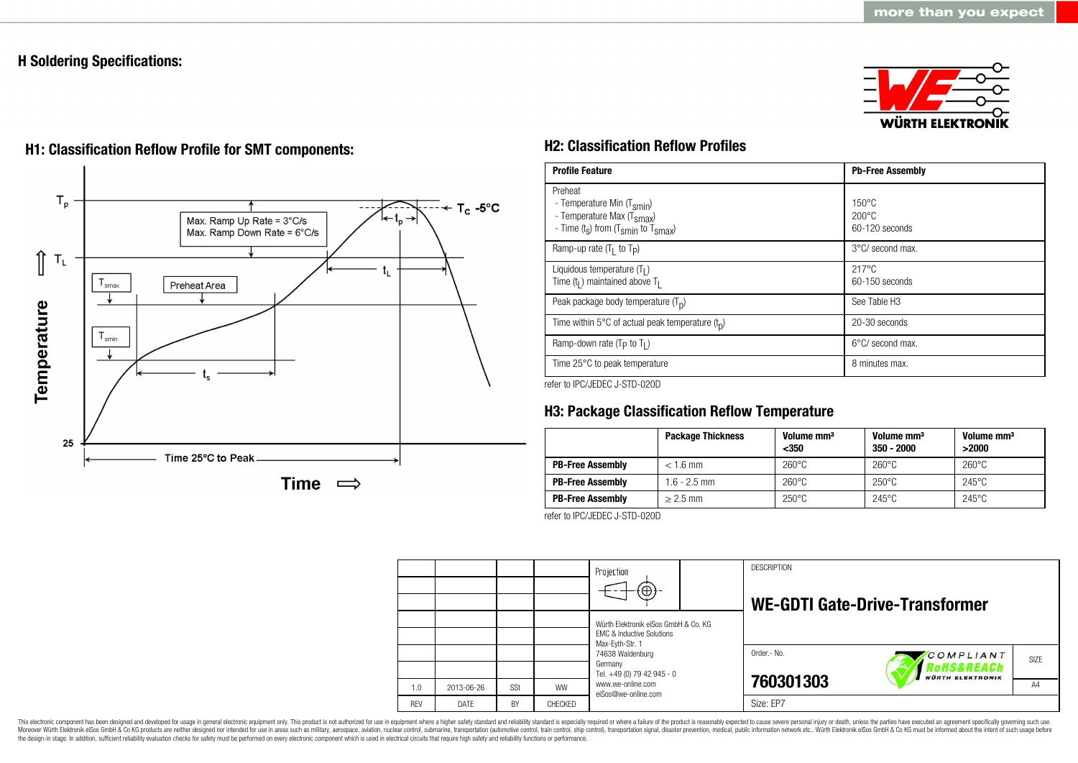# **H Soldering Specifications:**

25





Time  $\implies$ 

Time 25°C to Peak

# **H1: Classification Reflow Profile for SMT components: H2: Classification Reflow Profiles**

| <b>Profile Feature</b>                                                                                                                        | <b>Pb-Free Assembly</b>                                |
|-----------------------------------------------------------------------------------------------------------------------------------------------|--------------------------------------------------------|
| Preheat<br>- Temperature Min (T <sub>smin</sub> )<br>- Temperature Max (T <sub>Smax</sub> )<br>- Time $(t_s)$ from $(T_{smin}$ to $T_{smax})$ | $150^{\circ}$ C<br>$200^{\circ}$ C<br>$60-120$ seconds |
| Ramp-up rate $(T_1$ to $T_p$ )                                                                                                                | $3^{\circ}$ C/ second max.                             |
| Liquidous temperature $(T1)$<br>Time $(t_1)$ maintained above $T_1$                                                                           | $217^{\circ}$ C<br>$60-150$ seconds                    |
| Peak package body temperature $(T_p)$                                                                                                         | See Table H <sub>3</sub>                               |
| Time within 5°C of actual peak temperature $(t_n)$                                                                                            | 20-30 seconds                                          |
| Ramp-down rate ( $T_P$ to $T_I$ )                                                                                                             | $6^{\circ}$ C/ second max.                             |
| Time 25°C to peak temperature                                                                                                                 | 8 minutes max.                                         |

refer to IPC/JEDEC J-STD-020D

# **H3: Package Classification Reflow Temperature**

|                         | <b>Package Thickness</b> | Volume mm <sup>3</sup><br>$350$ | Volume mm <sup>3</sup><br>$350 - 2000$ | Volume mm <sup>3</sup><br>>2000 |
|-------------------------|--------------------------|---------------------------------|----------------------------------------|---------------------------------|
| <b>PB-Free Assembly</b> | $< 1.6$ mm               | $260^{\circ}$ C                 | $260^{\circ}$ C                        | $260^{\circ}$ C                 |
| <b>PB-Free Assembly</b> | 1.6 - 2.5 mm             | $260^{\circ}$ C                 | $250^{\circ}$ C                        | $245^{\circ}$ C                 |
| <b>PB-Free Assembly</b> | $> 2.5$ mm               | $250^{\circ}$ C                 | $245^{\circ}$ C                        | $245^{\circ}$ C                 |

refer to IPC/JEDEC J-STD-020D

|            |             |     |           | Projection<br>$\Theta$                                                       |  | <b>DESCRIPTION</b> | <b>WE-GDTI Gate-Drive-Transformer</b>     |                  |
|------------|-------------|-----|-----------|------------------------------------------------------------------------------|--|--------------------|-------------------------------------------|------------------|
|            |             |     |           | Würth Elektronik eiSos GmbH & Co. KG<br><b>EMC &amp; Inductive Solutions</b> |  |                    |                                           |                  |
|            |             |     |           | Max-Eyth-Str. 1<br>74638 Waldenburg<br>Germany                               |  | Order .- No.       | COMPLIANT<br><i><b>?oHS&amp;REACh</b></i> | SI <sub>7F</sub> |
| 1.0        | 2013-06-26  | SSt | <b>WW</b> | Tel. +49 (0) 79 42 945 - 0<br>www.we-online.com<br>eiSos@we-online.com       |  | 760301303          | <b>WÜRTH ELEKTRONIK</b>                   | A4               |
| <b>RFV</b> | <b>DATE</b> | BY  | CHECKED   |                                                                              |  | Size: EP7          |                                           |                  |

This electronic component has been designed and developed for usage in general electronic equipment only. This product is not authorized for use in equipment where a higher safety standard and reliability standard and reli Moreover Würth Elektronik eiSos GmbH & Co KG products are neither designed nor intended for use in areas such as military, aerospace, aviation, nuclear control, submarine, transportation (automotive control), stain control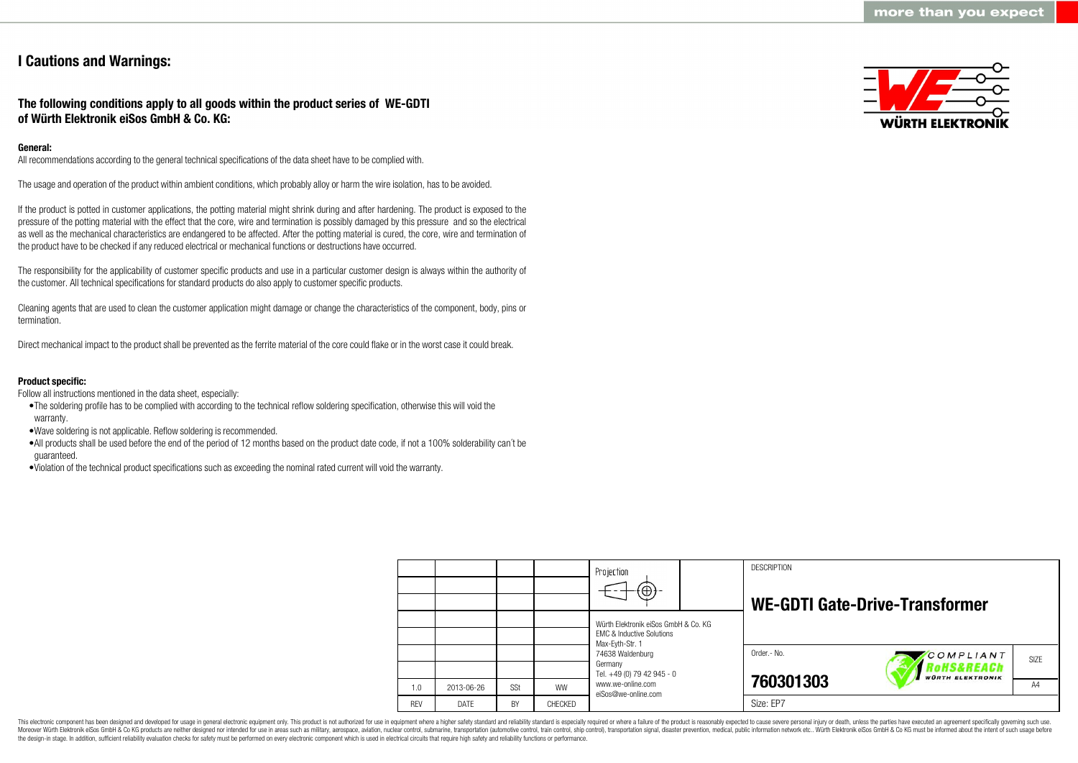# **I Cautions and Warnings:**

# **The following conditions apply to all goods within the product series of WE-GDTI of Würth Elektronik eiSos GmbH & Co. KG:**

# **General:**

All recommendations according to the general technical specifications of the data sheet have to be complied with.

The usage and operation of the product within ambient conditions, which probably alloy or harm the wire isolation, has to be avoided.

If the product is potted in customer applications, the potting material might shrink during and after hardening. The product is exposed to the pressure of the potting material with the effect that the core, wire and termination is possibly damaged by this pressure and so the electrical as well as the mechanical characteristics are endangered to be affected. After the potting material is cured, the core, wire and termination of the product have to be checked if any reduced electrical or mechanical functions or destructions have occurred.

The responsibility for the applicability of customer specific products and use in a particular customer design is always within the authority of the customer. All technical specifications for standard products do also apply to customer specific products.

Cleaning agents that are used to clean the customer application might damage or change the characteristics of the component, body, pins or termination.

Direct mechanical impact to the product shall be prevented as the ferrite material of the core could flake or in the worst case it could break.

## **Product specific:**

Follow all instructions mentioned in the data sheet, especially:

- •The soldering profile has to be complied with according to the technical reflow soldering specification, otherwise this will void the warranty.
- •Wave soldering is not applicable. Reflow soldering is recommended.
- •All products shall be used before the end of the period of 12 months based on the product date code, if not a 100% solderability can´t be guaranteed.
- •Violation of the technical product specifications such as exceeding the nominal rated current will void the warranty.



|            |             |     |           | Projection<br>$\circledast$                                                                     |  | <b>DESCRIPTION</b> | WE-GDTI Gate-Drive-Transformer |      |
|------------|-------------|-----|-----------|-------------------------------------------------------------------------------------------------|--|--------------------|--------------------------------|------|
|            |             |     |           | Würth Elektronik eiSos GmbH & Co. KG<br><b>EMC &amp; Inductive Solutions</b><br>Max-Eyth-Str. 1 |  |                    |                                |      |
|            |             |     |           | 74638 Waldenburg<br>Germany<br>Tel. +49 (0) 79 42 945 - 0                                       |  | Order.- No.        | COMPLIANT<br>oHS&REACh         | SIZE |
| 1.0        | 2013-06-26  | SSt | <b>WW</b> | www.we-online.com<br>eiSos@we-online.com                                                        |  | 760301303          | <b>WÜRTH ELEKTRONIK</b>        | A4   |
| <b>REV</b> | <b>DATE</b> | BY  | CHECKED   |                                                                                                 |  | Size: EP7          |                                |      |

This electronic component has been designed and developed for usage in general electronic equipment only. This product is not authorized for use in equipment where a higher safety standard and reliability standard is espec Moreover Würth Elektronik eiSos GmbH & Co KG products are neither designed nor intended for use in areas such as military, aerospace, aviation, nuclear control, submarine, transportation (automotive control), tain control) the design-in stage. In addition, sufficient reliability evaluation checks for safety must be performed on every electronic component which is used in electrical circuits that require high safety and reliability functions